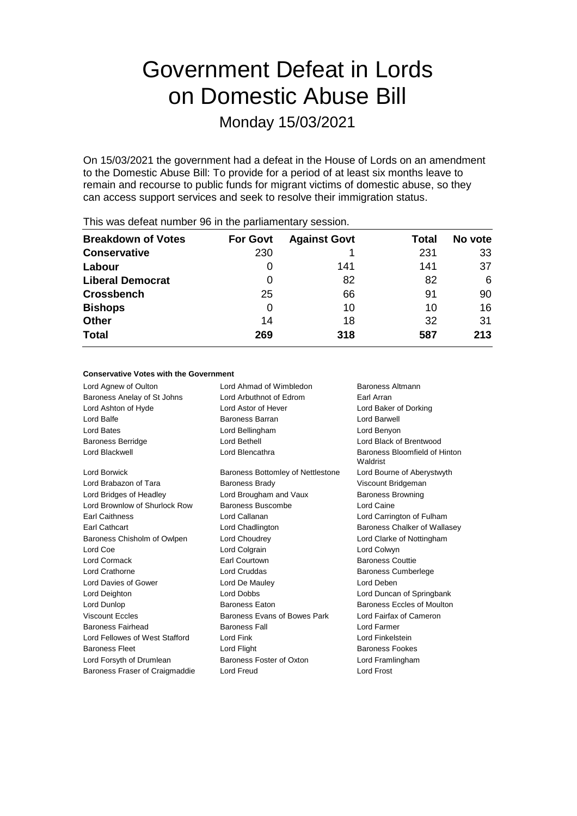# Government Defeat in Lords on Domestic Abuse Bill

Monday 15/03/2021

On 15/03/2021 the government had a defeat in the House of Lords on an amendment to the Domestic Abuse Bill: To provide for a period of at least six months leave to remain and recourse to public funds for migrant victims of domestic abuse, so they can access support services and seek to resolve their immigration status.

| <b>For Govt</b> | <b>Against Govt</b> | Total | No vote |
|-----------------|---------------------|-------|---------|
| 230             |                     | 231   | 33      |
| $\Omega$        | 141                 | 141   | 37      |
| 0               | 82                  | 82    | 6       |
| 25              | 66                  | 91    | 90      |
| 0               | 10                  | 10    | 16      |
| 14              | 18                  | 32    | 31      |
| 269             | 318                 | 587   | 213     |
|                 |                     |       |         |

This was defeat number 96 in the parliamentary session.

#### **Conservative Votes with the Government**

| Lord Agnew of Oulton           | Lord Ahmad of Wimbledon           | Baroness Altmann                          |
|--------------------------------|-----------------------------------|-------------------------------------------|
| Baroness Anelay of St Johns    | Lord Arbuthnot of Edrom           | Earl Arran                                |
| Lord Ashton of Hyde            | Lord Astor of Hever               | Lord Baker of Dorking                     |
| Lord Balfe                     | Baroness Barran                   | Lord Barwell                              |
| Lord Bates                     | Lord Bellingham                   | Lord Benyon                               |
| <b>Baroness Berridge</b>       | Lord Bethell                      | Lord Black of Brentwood                   |
| Lord Blackwell                 | Lord Blencathra                   | Baroness Bloomfield of Hinton<br>Waldrist |
| Lord Borwick                   | Baroness Bottomley of Nettlestone | Lord Bourne of Aberystwyth                |
| Lord Brabazon of Tara          | <b>Baroness Brady</b>             | Viscount Bridgeman                        |
| Lord Bridges of Headley        | Lord Brougham and Vaux            | <b>Baroness Browning</b>                  |
| Lord Brownlow of Shurlock Row  | Baroness Buscombe                 | Lord Caine                                |
| <b>Earl Caithness</b>          | Lord Callanan                     | Lord Carrington of Fulham                 |
| Earl Cathcart                  | Lord Chadlington                  | Baroness Chalker of Wallasey              |
| Baroness Chisholm of Owlpen    | Lord Choudrey                     | Lord Clarke of Nottingham                 |
| Lord Coe                       | Lord Colgrain                     | Lord Colwyn                               |
| <b>Lord Cormack</b>            | Earl Courtown                     | <b>Baroness Couttie</b>                   |
| <b>Lord Crathorne</b>          | <b>Lord Cruddas</b>               | <b>Baroness Cumberlege</b>                |
| Lord Davies of Gower           | Lord De Mauley                    | Lord Deben                                |
| Lord Deighton                  | <b>Lord Dobbs</b>                 | Lord Duncan of Springbank                 |
| Lord Dunlop                    | <b>Baroness Eaton</b>             | Baroness Eccles of Moulton                |
| <b>Viscount Eccles</b>         | Baroness Evans of Bowes Park      | Lord Fairfax of Cameron                   |
| Baroness Fairhead              | <b>Baroness Fall</b>              | Lord Farmer                               |
| Lord Fellowes of West Stafford | Lord Fink                         | Lord Finkelstein                          |
| <b>Baroness Fleet</b>          | Lord Flight                       | <b>Baroness Fookes</b>                    |
| Lord Forsyth of Drumlean       | Baroness Foster of Oxton          | Lord Framlingham                          |
| Baroness Fraser of Craigmaddie | Lord Freud                        | Lord Frost                                |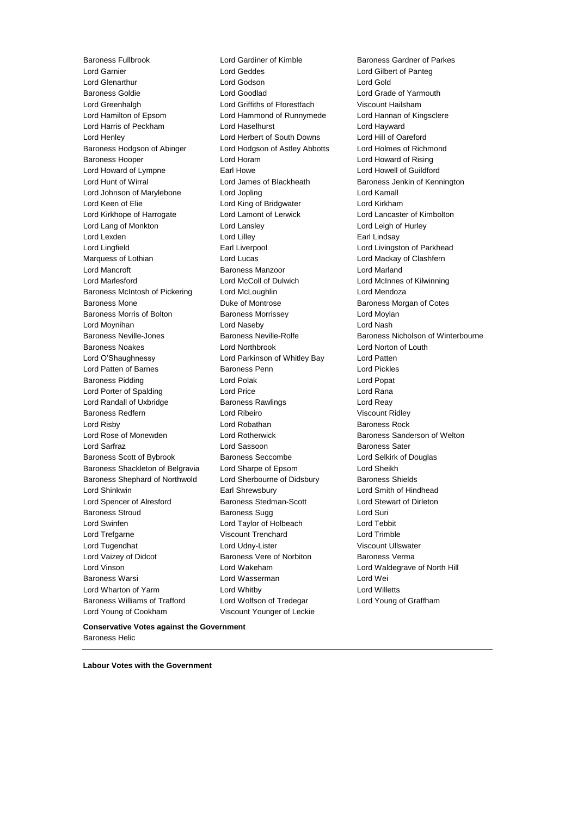Baroness Fullbrook Lord Gardiner of Kimble Baroness Gardner of Parkes Lord Garnier Lord Geddes Lord Gilbert of Panteg Lord Glenarthur Lord Godson Lord Gold Baroness Goldie Lord Goodlad Lord Grade of Yarmouth Lord Greenhalgh Lord Griffiths of Fforestfach Viscount Hailsham Lord Hamilton of Epsom Lord Hammond of Runnymede Lord Hannan of Kingsclere Lord Harris of Peckham Lord Haselhurst Lord Hayward Lord Henley Lord Herbert of South Downs Lord Hill of Oareford Baroness Hodgson of Abinger Lord Hodgson of Astley Abbotts Lord Holmes of Richmond Baroness Hooper Lord Horam Lord Howard of Rising Lord Howard of Lympne **Earl Howe** Earl Howe Lord Howell of Guildford Lord Hunt of Wirral **Lord James of Blackheath** Baroness Jenkin of Kennington Lord Johnson of Marylebone Lord Jopling Lord Kamall Lord Keen of Elie Lord King of Bridgwater Lord Kirkham Lord Kirkhope of Harrogate Lord Lamont of Lerwick Lord Lancaster of Kimbolton Lord Lang of Monkton Lord Lansley Lord Leigh of Hurley Lord Lexden **Lord Lindsay** Lord Lilley **Communist Communist Communist Communist Communist Communist Communist Communist Communist Communist Communist Communist Communist Communist Communist Communist Communist Communist Co** Lord Lingfield **Earl Liverpool** Earl Liverpool **Lord Livingston of Parkhead** Marquess of Lothian **Lord Lord Lucas** Lord Lucas **Lord Mackay of Clashfern** Lord Mancroft Baroness Manzoor Lord Marland Lord Marlesford Lord McColl of Dulwich Lord McInnes of Kilwinning Baroness McIntosh of Pickering Lord McLoughlin **Lord Mendoza** Baroness Mone **Baroness Montrose** Baroness Morgan of Cotes Baroness Morris of Bolton **Baroness Morrissey Lord Moylan** Lord Moynihan **Lord Naseby** Lord Naseby Lord Nash<br>
Baroness Neville-Jones **Constant Constructs Constructs** Baroness Neville-Rolfe **Constructs** Baroness Neville-Rolfe Baroness Neville-Jones Baroness Neville-Rolfe Baroness Nicholson of Winterbourne Baroness Noakes Lord Northbrook Lord Norton of Louth Lord O'Shaughnessy Lord Parkinson of Whitley Bay Lord Patten Lord Patten of Barnes **Baroness Penn** Lord Pickles Baroness Pidding Lord Polak Lord Popat Lord Porter of Spalding Lord Price Lord Rana Lord Randall of Uxbridge **Baroness Rawlings** Lord Reavenues Lord Reavenues Rawlings Baroness Redfern **Martin Lord Ribeiro** Missount Ridley Viscount Ridley Lord Risby **Lord Robathan** Baroness Rock **Baroness Rock** Lord Rose of Monewden **Lord Rotherwick** Baroness Sanderson of Welton Lord Sarfraz Lord Sassoon Baroness Sater Baroness Scott of Bybrook Baroness Seccombe Lord Selkirk of Douglas Baroness Shackleton of Belgravia Lord Sharpe of Epsom Lord Sheikh Baroness Shephard of Northwold Lord Sherbourne of Didsbury Baroness Shields Lord Shinkwin Earl Shrewsbury Lord Smith of Hindhead Lord Spencer of Alresford Baroness Stedman-Scott Lord Stewart of Dirleton Baroness Stroud Baroness Sugg Lord Suri Lord Swinfen Lord Taylor of Holbeach Lord Tebbit Lord Trefgarne Viscount Trenchard Lord Trimble Lord Tugendhat **Lord Udny-Lister** Viscount Ullswater Lord Vaizey of Didcot **Baroness Vere of Norbiton** Baroness Verma Lord Vinson Lord Wakeham Lord Waldegrave of North Hill Baroness Warsi Lord Wasserman Lord Wei Lord Wharton of Yarm Lord Whitby Lord Willetts Baroness Williams of Trafford Lord Wolfson of Tredegar Lord Young of Graffham Lord Young of Cookham Viscount Younger of Leckie

**Conservative Votes against the Government** Baroness Helic

**Labour Votes with the Government**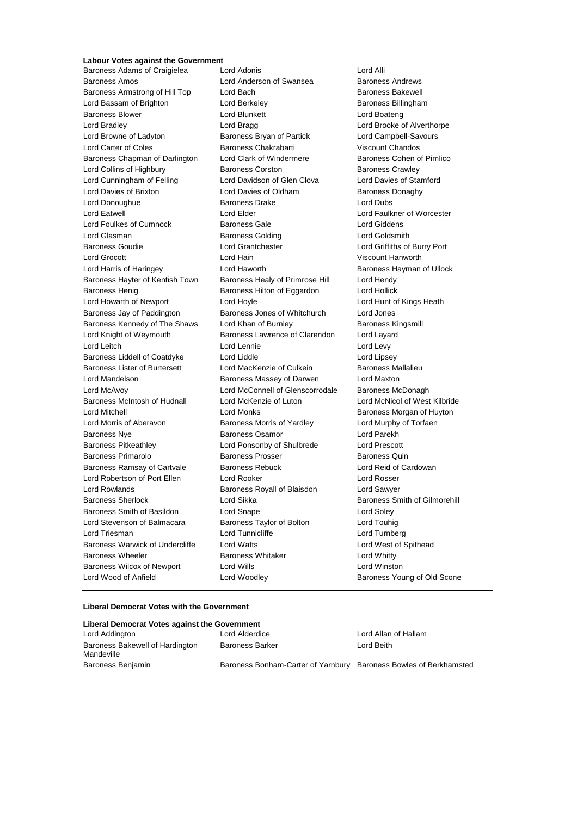## **Labour Votes against the Government**<br>Raroness Adams of Craigielea Lord Adonis

Baroness Amos Lord Anderson of Swansea Baroness Andrews Baroness Armstrong of Hill Top Lord Bach Baroness Bakewell Lord Bassam of Brighton **Lord Berkeley Baroness Billingham** Baroness Blower Lord Blunkett Lord Boateng Lord Bradley **Lord Bragg Lord Bragg Lord Brooke of Alverthorpe** Lord Browne of Ladyton Baroness Bryan of Partick Lord Campbell-Savours Lord Carter of Coles Baroness Chakrabarti Viscount Chandos Baroness Chapman of Darlington Lord Clark of Windermere Baroness Cohen of Pimlico Lord Collins of Highbury Baroness Corston Baroness Crawley Lord Cunningham of Felling Lord Davidson of Glen Clova Lord Davies of Stamford Lord Davies of Brixton **Lord Davies of Oldham** Baroness Donaghy Lord Donoughue **Baroness Drake** Lord Dubs Lord Eatwell Lord Elder Lord Faulkner of Worcester Lord Foulkes of Cumnock Baroness Gale Corresponding Lord Giddens Lord Glasman **Baroness Golding Baroness Golding Lord Goldsmith** Baroness Goudie Lord Grantchester Lord Griffiths of Burry Port Lord Grocott Lord Hain Viscount Hanworth Lord Harris of Haringey **Lord Haworth Baroness Hayman of Ullock** Baroness Hayman of Ullock Baroness Hayter of Kentish Town Baroness Healy of Primrose Hill Lord Hendy Baroness Henig **Baroness Hilton of Eggardon** Lord Hollick Lord Howarth of Newport Lord Hoyle Lord Hunt of Kings Heath Baroness Jay of Paddington Baroness Jones of Whitchurch Lord Jones Baroness Kennedy of The Shaws Lord Khan of Burnley **Baroness Kingsmill** Baroness Kingsmill Lord Knight of Weymouth Baroness Lawrence of Clarendon Lord Layard Lord Leitch **Lord Lennie** Lord Lennie **Lord Levy** Baroness Liddell of Coatdyke Lord Liddle Lord Linesey Baroness Lister of Burtersett Lord MacKenzie of Culkein Baroness Mallalieu Lord Mandelson Baroness Massey of Darwen Lord Maxton Lord McAvoy **Lord McConnell of Glenscorrodale** Baroness McDonagh Baroness McIntosh of Hudnall Lord McKenzie of Luton Lord McNicol of West Kilbride Lord Mitchell Lord Monks Baroness Morgan of Huyton Lord Morris of Aberavon Baroness Morris of Yardley Lord Murphy of Torfaen Baroness Nye **Baroness Osamor** Baroness Osamor **Lord Parekh** Baroness Pitkeathley Lord Ponsonby of Shulbrede Lord Prescott Baroness Primarolo **Baroness Prosser** Baroness Prosser Baroness Quin Baroness Ramsay of Cartvale **Baroness Rebuck** Lord Reid of Cardowan Lord Robertson of Port Ellen Lord Rooker Lord Rosser Lord Rowlands Baroness Royall of Blaisdon Lord Sawyer Baroness Sherlock Lord Sikka Baroness Smith of Gilmorehill Baroness Smith of Basildon Lord Snape Lord Soley Lord Stevenson of Balmacara Baroness Taylor of Bolton Lord Touhig Lord Triesman **Lord Tunnicliffe** Lord Turnberg Lord Turnberg Baroness Warwick of Undercliffe Lord Watts Lord West of Spithead Baroness Wheeler **Baroness Whitaker** Lord Whitty Baroness Wilcox of Newport Lord Wills Lord Winston Lord Wood of Anfield Lord Woodley **Baroness Young of Old Scone** 

Baroness Adams of Craigielea Lord Adonis Lord Annual Lord Alli

#### **Liberal Democrat Votes with the Government**

| Liberal Democrat Votes against the Government |                                                                   |                      |  |  |
|-----------------------------------------------|-------------------------------------------------------------------|----------------------|--|--|
| Lord Addington                                | Lord Alderdice                                                    | Lord Allan of Hallam |  |  |
| Baroness Bakewell of Hardington<br>Mandeville | <b>Baroness Barker</b>                                            | Lord Beith           |  |  |
| Baroness Benjamin                             | Baroness Bonham-Carter of Yarnbury Baroness Bowles of Berkhamsted |                      |  |  |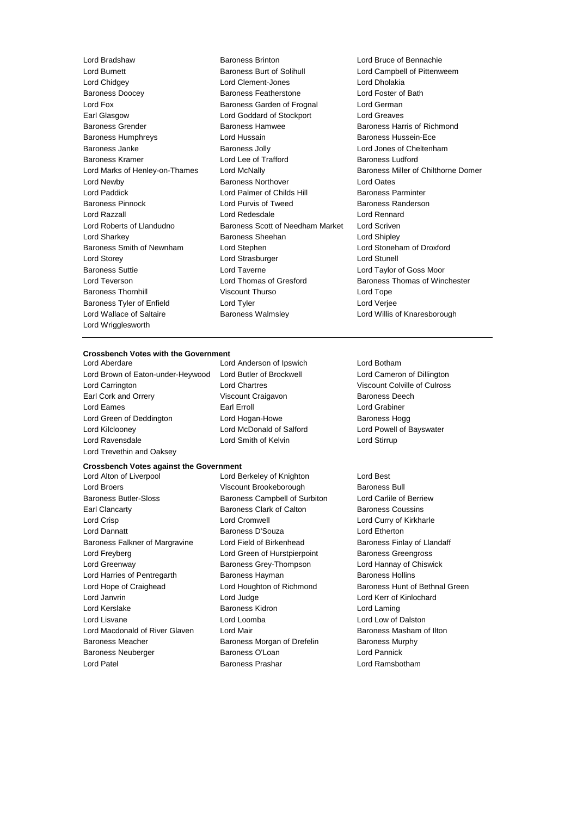Baroness Doocey Baroness Featherstone Baroness Kramer **Lord Lee of Trafford** Lord Wallace of Saltaire **Baroness Walmsley Lord Willis of Knaresborough** Lord Wrigglesworth

Lord Bradshaw Baroness Brinton Lord Bruce of Bennachie Lord Burnett **Baroness Burt of Solihull** Lord Campbell of Pittenweem<br>
Lord Chidgev **Lord Clement-Jones** Lord Dholakia Lord Chidgey Lord Clement-Jones Lord Dholakia Lord Fox Baroness Garden of Frognal Lord German Earl Glasgow **Lord Goddard of Stockport** Lord Greaves Baroness Grender **Baroness Hamwee** Baroness Hamas Baroness Harris of Richmond Baroness Humphreys Lord Hussain Baroness Hussein-Ece Baroness Janke **Baroness Jolly** Baroness Jolly **Lord Jones of Cheltenham**<br>Baroness Kramer **Baroness Lord Lee of Trafford** Baroness Ludford Lord Newby Baroness Northover Lord Oates Lord Paddick **Lord Palmer of Childs Hill** Baroness Parminter Baroness Pinnock **Lord Purvis of Tweed** Baroness Randerson Lord Razzall Lord Redesdale Lord Rennard Lord Roberts of Llandudno Baroness Scott of Needham Market Lord Scriven Lord Sharkey **Baroness Sheehan** Lord Shipley **Lord Shipley** Baroness Smith of Newnham Lord Stephen Lord Stoneham of Droxford Lord Storey Lord Strasburger Lord Stunell Baroness Suttie Lord Taverne Lord Taylor of Goss Moor Lord Teverson **Lord Thomas of Gresford** Baroness Thomas of Winchester Baroness Thornhill **Same School Control Viscount Thurso** Control Lord Tope Baroness Tyler of Enfield Lord Tyler Lord Tyler Lord Verjee

#### **Crossbench Votes with the Government**

- Lord Brown of Eaton-under-Heywood Lord Butler of Brockwell Lord Cameron of Dillington Lord Carrington Lord Chartres Viscount Colville of Culross Earl Cork and Orrery **Viscount Craigavon** Baroness Deech Lord Eames **Earl Erroll** Earl Erroll **Earl Erroll** Cord Grabiner Lord Green of Deddington **Lord Hogan-Howe** Baroness Hogg Lord Kilclooney Lord McDonald of Salford Lord Powell of Bayswater Lord Ravensdale Lord Smith of Kelvin Lord Stirrup Lord Trevethin and Oaksey
- Lord Aberdare Lord Anderson of Ipswich Lord Botham

#### **Crossbench Votes against the Government**

Lord Broers Viscount Brookeborough Baroness Bull Baroness Butler-Sloss Baroness Campbell of Surbiton Lord Carlile of Berriew Earl Clancarty Baroness Clark of Calton Baroness Coussins Lord Crisp Lord Cromwell Lord Curry of Kirkharle Lord Dannatt **Baroness D'Souza** Lord Etherton Baroness Falkner of Margravine Lord Field of Birkenhead Baroness Finlay of Llandaff Lord Freyberg **Lord Green of Hurstpierpoint** Baroness Greengross Lord Greenway Baroness Grey-Thompson Lord Hannay of Chiswick Lord Harries of Pentregarth Baroness Hayman Baroness Hollins Lord Hope of Craighead Lord Houghton of Richmond Baroness Hunt of Bethnal Green Lord Janvrin Lord Judge Lord Kerr of Kinlochard Lord Kerslake **Baroness Kidron** Baroness Kidron Lord Laming Lord Lisvane Lord Loomba Lord Low of Dalston Lord Macdonald of River Glaven Lord Mair **Baroness Masham of Ilton** Baroness Meacher **Baroness Morgan of Drefelin** Baroness Murphy Baroness Neuberger **Baroness O'Loan** Baroness O'Loan Lord Pannick Lord Patel Baroness Prashar Lord Ramsbotham

Lord Alton of Liverpool **Lord Berkeley of Knighton** Lord Best

Lord Marks of Henley-on-Thames Lord McNally **Baroness Miller of Chilthorne Domer**